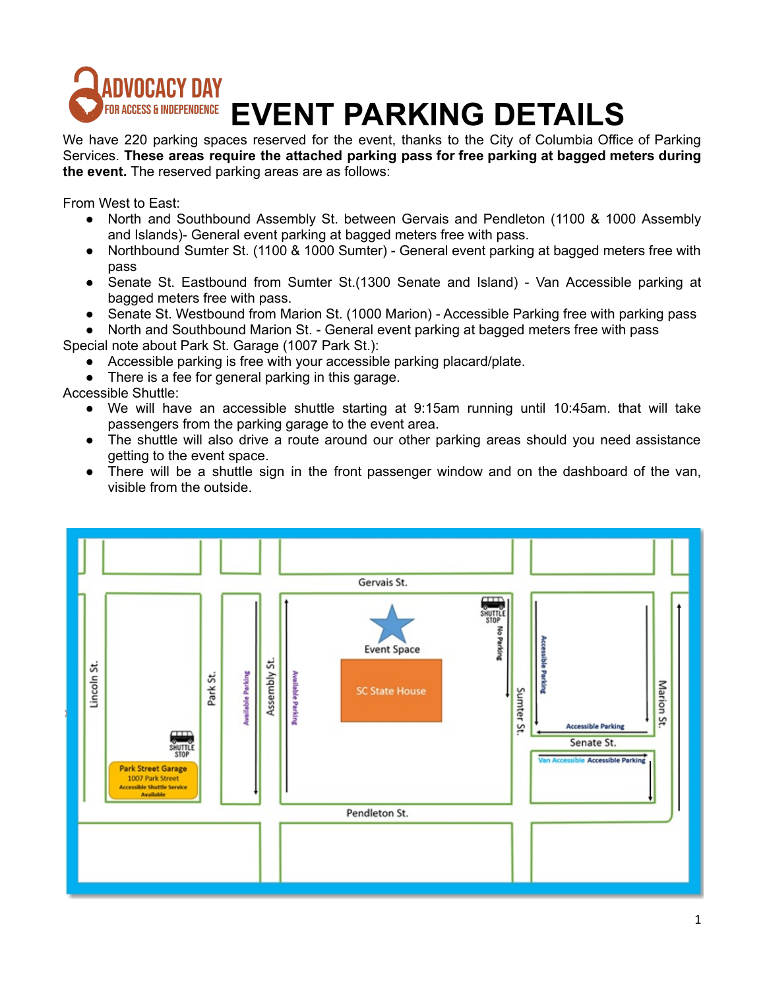

We have 220 parking spaces reserved for the event, thanks to the City of Columbia Office of Parking Services. **These areas require the attached parking pass for free parking at bagged meters during the event.** The reserved parking areas are as follows:

From West to East:

- North and Southbound Assembly St. between Gervais and Pendleton (1100 & 1000 Assembly and Islands)- General event parking at bagged meters free with pass.
- Northbound Sumter St. (1100 & 1000 Sumter) General event parking at bagged meters free with pass
- Senate St. Eastbound from Sumter St.(1300 Senate and Island) Van Accessible parking at bagged meters free with pass.
- Senate St. Westbound from Marion St. (1000 Marion) Accessible Parking free with parking pass

North and Southbound Marion St. - General event parking at bagged meters free with pass Special note about Park St. Garage (1007 Park St.):

- Accessible parking is free with your accessible parking placard/plate.
- There is a fee for general parking in this garage.

Accessible Shuttle:

- We will have an accessible shuttle starting at 9:15am running until 10:45am. that will take passengers from the parking garage to the event area.
- The shuttle will also drive a route around our other parking areas should you need assistance getting to the event space.
- There will be a shuttle sign in the front passenger window and on the dashboard of the van, visible from the outside.